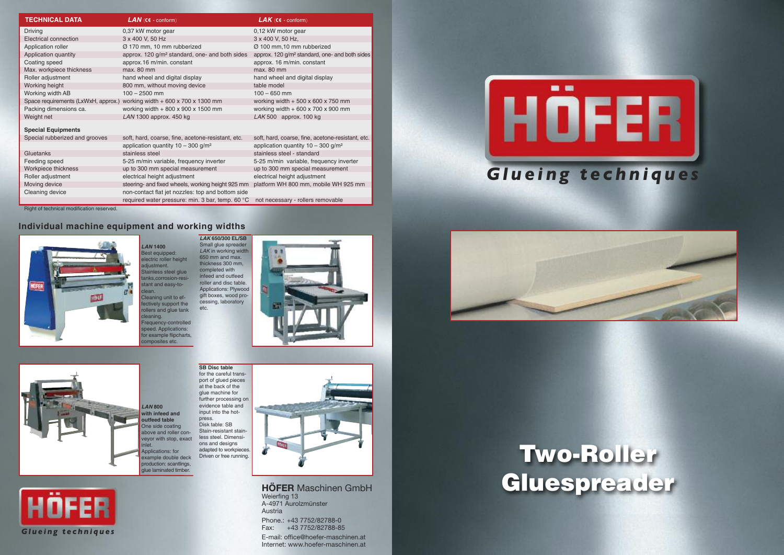





### **Individual machine equipment and working widths**

**HÖFER** Maschinen GmbH Weierfing 13 A-4971 Aurolzmünster Austria Phone.: +43 7752/82788-0

*LAN* **1400** Best equipped: electric roller height djustment. tainless steel glue tanks,corrosion-resitant and easy-to-

Fax: +43 7752/82788-85

E-mail: office@hoefer-maschinen.at Internet: www.hoefer-maschinen.at

lean. Cleaning unit to effectively support the ollers and glue tank eaning. Frequency-controlled speed. Applications: for example flipcharts,













*LAN* **800 with infeed and outfeed table** One side coating above and roller conveyor with stop, exact Applications: for example double deck production: scantlings, glue laminated timber. press. Disk table: SB



Right of technical modification reserved.

| <b>TECHNICAL DATA</b>          | $LAN$ ( $ce$ - conform)                                                 | $\mathbf{LAK}$ (ce - conform)                              |
|--------------------------------|-------------------------------------------------------------------------|------------------------------------------------------------|
| <b>Driving</b>                 | 0,37 kW motor gear                                                      | 0,12 kW motor gear                                         |
| Electrical connection          | 3 x 400 V, 50 Hz                                                        | 3 x 400 V, 50 Hz,                                          |
| Application roller             | Ø 170 mm, 10 mm rubberized                                              | Ø 100 mm, 10 mm rubberized                                 |
| Application quantity           | approx. 120 g/m <sup>2</sup> standard, one- and both sides              | approx. 120 g/m <sup>2</sup> standard, one- and both sides |
| Coating speed                  | approx.16 m/min. constant                                               | approx. 16 m/min. constant                                 |
| Max. workpiece thickness       | max. 80 mm                                                              | $max. 80$ mm                                               |
| Roller adjustment              | hand wheel and digital display                                          | hand wheel and digital display                             |
| Working height                 | 800 mm, without moving device                                           | table model                                                |
| Working width AB               | $100 - 2500$ mm                                                         | $100 - 650$ mm                                             |
|                                | Space requirements (LxWxH, approx.) working width + 600 x 700 x 1300 mm | working width $+500 \times 600 \times 750$ mm              |
| Packing dimensions ca.         | working width $+800 \times 900 \times 1500$ mm                          | working width $+600 \times 700 \times 900$ mm              |
| Weight net                     | LAN 1300 approx. 450 kg                                                 | $LAK$ 500 approx. 100 kg                                   |
| <b>Special Equipments</b>      |                                                                         |                                                            |
| Special rubberized and grooves | soft, hard, coarse, fine, acetone-resistant, etc.                       | soft, hard, coarse, fine, acetone-resistant, etc.          |
|                                | application quantity $10 - 300$ g/m <sup>2</sup>                        | application quantity $10 - 300$ g/m <sup>2</sup>           |
| Gluetanks                      | stainless steel                                                         | stainless steel - standard                                 |
| Feeding speed                  | 5-25 m/min variable, frequency inverter                                 | 5-25 m/min variable, frequency inverter                    |
| Workpiece thickness            | up to 300 mm special measurement                                        | up to 300 mm special measurement                           |
| Roller adjustment              | electrical height adjustment                                            | electrical height adjustment                               |
| Moving device                  | steering- and fixed wheels, working height 925 mm                       | platform WH 800 mm, mobile WH 925 mm                       |
| Cleaning device                | non-contact flat jet nozzles: top and bottom side                       |                                                            |
|                                | required water pressure: min. 3 bar, temp. 60 °C                        | not necessary - rollers removable                          |